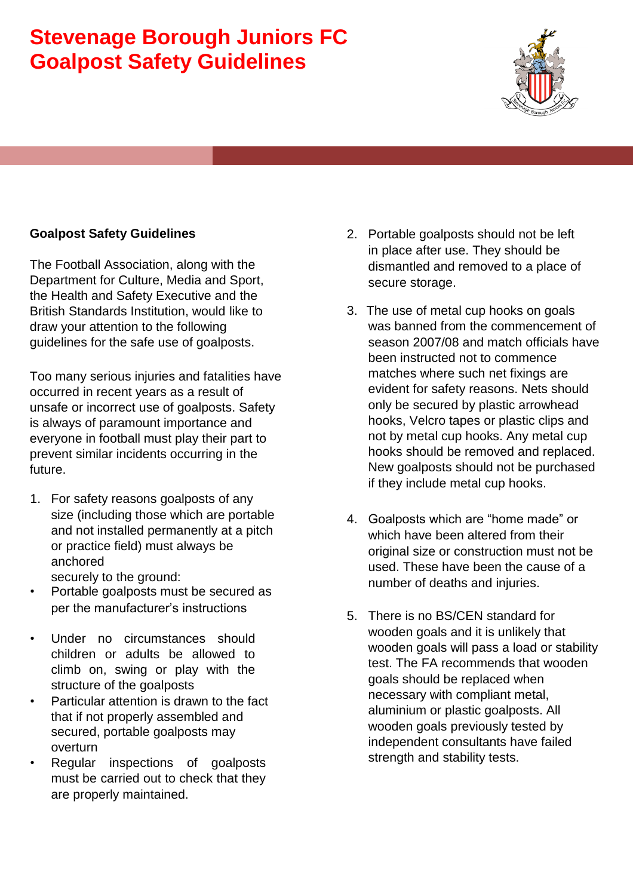## **Stevenage Borough Juniors FC Goalpost Safety Guidelines**



## **Goalpost Safety Guidelines**

The Football Association, along with the Department for Culture, Media and Sport, the Health and Safety Executive and the British Standards Institution, would like to draw your attention to the following guidelines for the safe use of goalposts.

Too many serious injuries and fatalities have occurred in recent years as a result of unsafe or incorrect use of goalposts. Safety is always of paramount importance and everyone in football must play their part to prevent similar incidents occurring in the future.

- 1. For safety reasons goalposts of any size (including those which are portable and not installed permanently at a pitch or practice field) must always be anchored securely to the ground:
- Portable goalposts must be secured as per the manufacturer's instructions
- Under no circumstances should children or adults be allowed to climb on, swing or play with the structure of the goalposts
- Particular attention is drawn to the fact that if not properly assembled and secured, portable goalposts may overturn
- Regular inspections of goalposts must be carried out to check that they are properly maintained.
- 2. Portable goalposts should not be left in place after use. They should be dismantled and removed to a place of secure storage.
- 3. The use of metal cup hooks on goals was banned from the commencement of season 2007/08 and match officials have been instructed not to commence matches where such net fixings are evident for safety reasons. Nets should only be secured by plastic arrowhead hooks, Velcro tapes or plastic clips and not by metal cup hooks. Any metal cup hooks should be removed and replaced. New goalposts should not be purchased if they include metal cup hooks.
- 4. Goalposts which are "home made" or which have been altered from their original size or construction must not be used. These have been the cause of a number of deaths and injuries.
- 5. There is no BS/CEN standard for wooden goals and it is unlikely that wooden goals will pass a load or stability test. The FA recommends that wooden goals should be replaced when necessary with compliant metal, aluminium or plastic goalposts. All wooden goals previously tested by independent consultants have failed strength and stability tests.